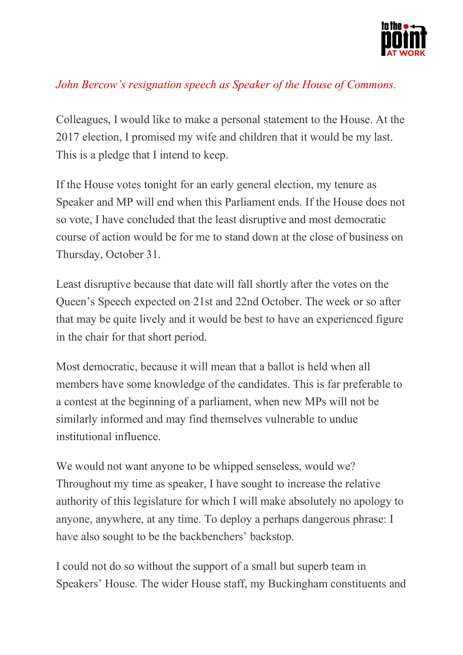

## *John Bercow's resignation speech as Speaker of the House of Commons.*

Colleagues, I would like to make a personal statement to the House. At the 2017 election, I promised my wife and children that it would be my last. This is a pledge that I intend to keep.

If the House votes tonight for an early general election, my tenure as Speaker and MP will end when this Parliament ends. If the House does not so vote, I have concluded that the least disruptive and most democratic course of action would be for me to stand down at the close of business on Thursday, October 31.

Least disruptive because that date will fall shortly after the votes on the Queen's Speech expected on 21st and 22nd October. The week or so after that may be quite lively and it would be best to have an experienced figure in the chair for that short period.

Most democratic, because it will mean that a ballot is held when all members have some knowledge of the candidates. This is far preferable to a contest at the beginning of a parliament, when new MPs will not be similarly informed and may find themselves vulnerable to undue institutional influence.

We would not want anyone to be whipped senseless, would we? Throughout my time as speaker, I have sought to increase the relative authority of this legislature for which I will make absolutely no apology to anyone, anywhere, at any time. To deploy a perhaps dangerous phrase: I have also sought to be the backbenchers' backstop.

I could not do so without the support of a small but superb team in Speakers' House. The wider House staff, my Buckingham constituents and